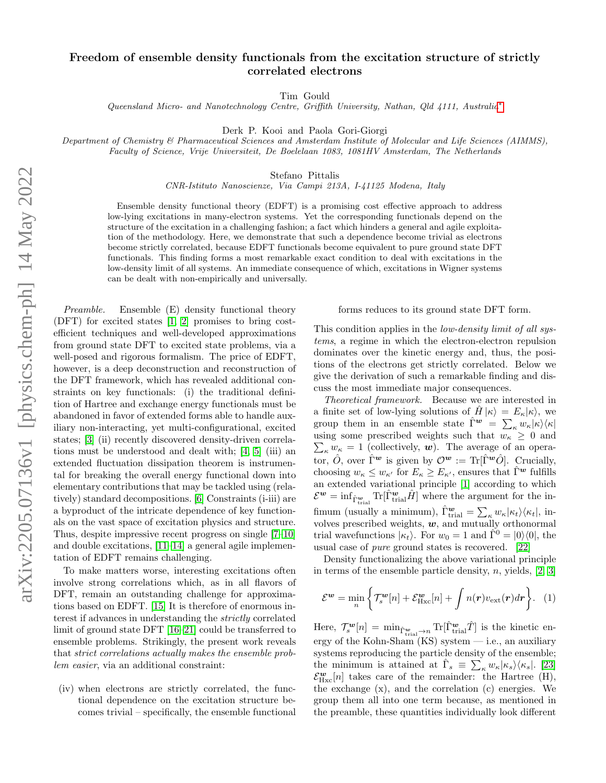## Freedom of ensemble density functionals from the excitation structure of strictly correlated electrons

Tim Gould

Queensland Micro- and Nanotechnology Centre, Griffith University, Nathan, Qld 4111, Australia[∗](#page-4-0)

Derk P. Kooi and Paola Gori-Giorgi

Department of Chemistry & Pharmaceutical Sciences and Amsterdam Institute of Molecular and Life Sciences (AIMMS), Faculty of Science, Vrije Universiteit, De Boelelaan 1083, 1081HV Amsterdam, The Netherlands

Stefano Pittalis

CNR-Istituto Nanoscienze, Via Campi 213A, I-41125 Modena, Italy

Ensemble density functional theory (EDFT) is a promising cost effective approach to address low-lying excitations in many-electron systems. Yet the corresponding functionals depend on the structure of the excitation in a challenging fashion; a fact which hinders a general and agile exploitation of the methodology. Here, we demonstrate that such a dependence become trivial as electrons become strictly correlated, because EDFT functionals become equivalent to pure ground state DFT functionals. This finding forms a most remarkable exact condition to deal with excitations in the low-density limit of all systems. An immediate consequence of which, excitations in Wigner systems can be dealt with non-empirically and universally.

Preamble. Ensemble (E) density functional theory (DFT) for excited states [\[1,](#page-4-1) [2\]](#page-4-2) promises to bring costefficient techniques and well-developed approximations from ground state DFT to excited state problems, via a well-posed and rigorous formalism. The price of EDFT, however, is a deep deconstruction and reconstruction of the DFT framework, which has revealed additional constraints on key functionals: (i) the traditional definition of Hartree and exchange energy functionals must be abandoned in favor of extended forms able to handle auxiliary non-interacting, yet multi-configurational, excited states; [\[3\]](#page-4-3) (ii) recently discovered density-driven correlations must be understood and dealt with; [\[4,](#page-4-4) [5\]](#page-4-5) (iii) an extended fluctuation dissipation theorem is instrumental for breaking the overall energy functional down into elementary contributions that may be tackled using (relatively) standard decompositions. [\[6\]](#page-4-6) Constraints (i-iii) are a byproduct of the intricate dependence of key functionals on the vast space of excitation physics and structure. Thus, despite impressive recent progress on single [\[7](#page-4-7)[–10\]](#page-4-8) and double excitations, [\[11](#page-4-9)[–14\]](#page-4-10) a general agile implementation of EDFT remains challenging.

To make matters worse, interesting excitations often involve strong correlations which, as in all flavors of DFT, remain an outstanding challenge for approximations based on EDFT. [\[15\]](#page-4-11) It is therefore of enormous interest if advances in understanding the strictly correlated limit of ground state DFT [\[16](#page-4-12)[–21\]](#page-4-13) could be transferred to ensemble problems. Strikingly, the present work reveals that strict correlations actually makes the ensemble problem easier, via an additional constraint:

(iv) when electrons are strictly correlated, the functional dependence on the excitation structure becomes trivial – specifically, the ensemble functional forms reduces to its ground state DFT form.

This condition applies in the *low-density limit of all sys*tems, a regime in which the electron-electron repulsion dominates over the kinetic energy and, thus, the positions of the electrons get strictly correlated. Below we give the derivation of such a remarkable finding and discuss the most immediate major consequences.

Theoretical framework. Because we are interested in a finite set of low-lying solutions of  $H|\kappa\rangle = E_{\kappa}|\kappa\rangle$ , we group them in an ensemble state  $\hat{\Gamma}^{\mathbf{w}} = \sum_{\kappa} w_{\kappa} |\kappa\rangle\langle\kappa|$ using some prescribed weights such that  $w_{\kappa} \geq 0$  and  $\sum_{\kappa} w_{\kappa} = 1$  (collectively, **w**). The average of an operator,  $\hat{O}$ , over  $\hat{\Gamma}^{\boldsymbol{w}}$  is given by  $\mathcal{O}^{\boldsymbol{w}} := {\rm Tr}[\hat{\Gamma}^{\boldsymbol{w}}\hat{O}]$ . Crucially, choosing  $w_{\kappa} \leq w_{\kappa'}$  for  $E_{\kappa} \geq E_{\kappa'}$ , ensures that  $\hat{\Gamma}^{\mathbf{w}}$  fulfills an extended variational principle [\[1\]](#page-4-1) according to which  $\mathcal{E}^{\bm{w}} = \inf_{\hat{\Gamma}_{\text{trial}}^{\bm{w}}} \text{Tr}[\hat{\Gamma}_{\text{trial}}^{\bm{w}} \hat{H}]$  where the argument for the infimum (usually a minimum),  $\hat{\Gamma}_{\text{trial}}^{\boldsymbol{w}} = \sum_{\kappa} w_{\kappa} |\kappa_t\rangle \langle \kappa_t|$ , involves prescribed weights,  $w$ , and mutually orthonormal trial wavefunctions  $|\kappa_t\rangle$ . For  $w_0 = 1$  and  $\hat{\Gamma}^0 = |0\rangle\langle 0|$ , the usual case of pure ground states is recovered. [\[22\]](#page-4-14)

Density functionalizing the above variational principle in terms of the ensemble particle density,  $n$ , yields, [\[2,](#page-4-2) [3\]](#page-4-3)

<span id="page-0-0"></span>
$$
\mathcal{E}^{\mathbf{w}} = \min_{n} \left\{ \mathcal{T}_{s}^{\mathbf{w}}[n] + \mathcal{E}_{\text{Hxc}}^{\mathbf{w}}[n] + \int n(\mathbf{r}) v_{\text{ext}}(\mathbf{r}) d\mathbf{r} \right\}. \quad (1)
$$

Here,  $\mathcal{T}_{s}^{\mathbf{w}}[n] = \min_{\hat{\Gamma}_{\text{trial}} \to n} \text{Tr}[\hat{\Gamma}_{\text{trial}}^{\mathbf{w}} \hat{T}]$  is the kinetic energy of the Kohn-Sham  $(KS)$  system  $-$  i.e., an auxiliary systems reproducing the particle density of the ensemble; the minimum is attained at  $\hat{\Gamma}_s \equiv \sum_{\kappa} w_{\kappa} |\kappa_s\rangle\langle\kappa_s|$ . [\[23\]](#page-4-15)  $\mathcal{E}_{\text{Hxc}}^{\mathbf{w}}[n]$  takes care of the remainder: the Hartree (H), the exchange (x), and the correlation (c) energies. We group them all into one term because, as mentioned in the preamble, these quantities individually look different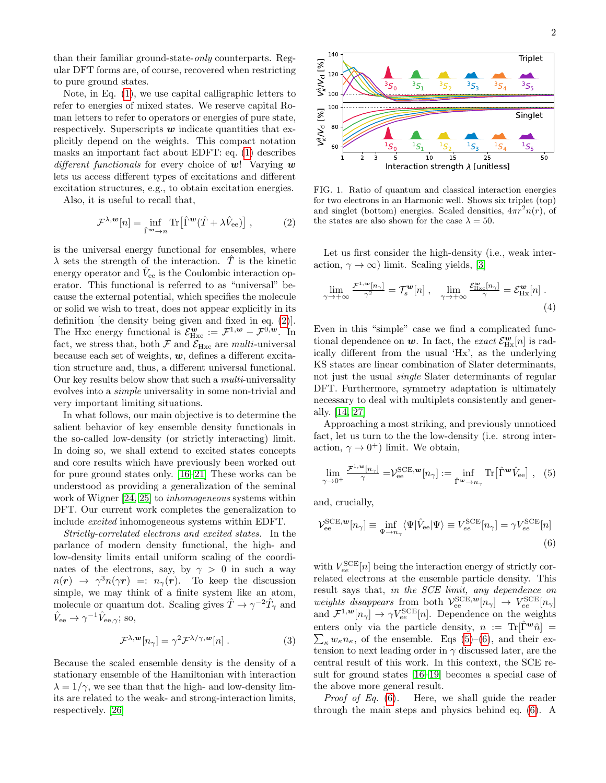than their familiar ground-state-only counterparts. Regular DFT forms are, of course, recovered when restricting to pure ground states.

Note, in Eq. [\(1\)](#page-0-0), we use capital calligraphic letters to refer to energies of mixed states. We reserve capital Roman letters to refer to operators or energies of pure state, respectively. Superscripts  $w$  indicate quantities that explicitly depend on the weights. This compact notation masks an important fact about EDFT: eq. [\(1\)](#page-0-0) describes different functionals for every choice of  $w$ ! Varying w lets us access different types of excitations and different excitation structures, e.g., to obtain excitation energies.

Also, it is useful to recall that,

$$
\mathcal{F}^{\lambda,\mathbf{w}}[n] = \inf_{\hat{\Gamma}^{\mathbf{w}} \to n} \text{Tr} \left[ \hat{\Gamma}^{\mathbf{w}} (\hat{T} + \lambda \hat{V}_{\text{ee}}) \right],\tag{2}
$$

is the universal energy functional for ensembles, where  $\lambda$  sets the strength of the interaction.  $\hat{T}$  is the kinetic energy operator and  $\hat{V}_{ee}$  is the Coulombic interaction operator. This functional is referred to as "universal" because the external potential, which specifies the molecule or solid we wish to treat, does not appear explicitly in its definition [the density being given and fixed in eq. [\(2\)](#page-1-0)]. The Hxc energy functional is  $\mathcal{E}_{\text{Hxc}}^{\mathbf{w}} := \mathcal{F}^{1,\mathbf{w}} - \mathcal{F}^{0,\mathbf{w}}$ . In fact, we stress that, both  $\mathcal F$  and  $\mathcal E_{\rm Hxc}$  are *multi*-universal because each set of weights,  $w$ , defines a different excitation structure and, thus, a different universal functional. Our key results below show that such a multi-universality evolves into a simple universality in some non-trivial and very important limiting situations.

In what follows, our main objective is to determine the salient behavior of key ensemble density functionals in the so-called low-density (or strictly interacting) limit. In doing so, we shall extend to excited states concepts and core results which have previously been worked out for pure ground states only. [\[16–](#page-4-12)[21\]](#page-4-13) These works can be understood as providing a generalization of the seminal work of Wigner [\[24,](#page-4-16) [25\]](#page-4-17) to *inhomogeneous* systems within DFT. Our current work completes the generalization to include excited inhomogeneous systems within EDFT.

Strictly-correlated electrons and excited states. In the parlance of modern density functional, the high- and low-density limits entail uniform scaling of the coordinates of the electrons, say, by  $\gamma > 0$  in such a way  $n(\mathbf{r}) \rightarrow \gamma^3 n(\gamma \mathbf{r}) =: n_{\gamma}(\mathbf{r}).$  To keep the discussion simple, we may think of a finite system like an atom, molecule or quantum dot. Scaling gives  $\hat{T} \to \gamma^{-2} \hat{T}_{\gamma}$  and  $\hat{V}_{ee} \rightarrow \gamma^{-1} \hat{V}_{ee,\gamma}$ ; so,

$$
\mathcal{F}^{\lambda,\mathbf{w}}[n_{\gamma}] = \gamma^2 \mathcal{F}^{\lambda/\gamma,\mathbf{w}}[n] . \tag{3}
$$

Because the scaled ensemble density is the density of a stationary ensemble of the Hamiltonian with interaction  $\lambda = 1/\gamma$ , we see than that the high- and low-density limits are related to the weak- and strong-interaction limits, respectively. [\[26\]](#page-4-18)



<span id="page-1-3"></span><span id="page-1-0"></span>FIG. 1. Ratio of quantum and classical interaction energies for two electrons in an Harmonic well. Shows six triplet (top) and singlet (bottom) energies. Scaled densities,  $4\pi r^2 n(r)$ , of the states are also shown for the case  $\lambda = 50$ .

Let us first consider the high-density (i.e., weak interaction,  $\gamma \to \infty$ ) limit. Scaling yields, [\[3\]](#page-4-3)

$$
\lim_{\gamma \to +\infty} \frac{\mathcal{F}^{1,\mathbf{w}}[n_{\gamma}]}{\gamma^2} = \mathcal{T}_s^{\mathbf{w}}[n] , \quad \lim_{\gamma \to +\infty} \frac{\mathcal{E}_{\text{Hxc}}^{\mathbf{w}}[n_{\gamma}]}{\gamma} = \mathcal{E}_{\text{Hx}}^{\mathbf{w}}[n] .
$$
\n(4)

Even in this "simple" case we find a complicated functional dependence on  $w$ . In fact, the *exact*  $\mathcal{E}_{Hx}^{\mathbf{w}}[n]$  is radically different from the usual 'Hx', as the underlying KS states are linear combination of Slater determinants, not just the usual single Slater determinants of regular DFT. Furthermore, symmetry adaptation is ultimately necessary to deal with multiplets consistently and generally. [\[14,](#page-4-10) [27\]](#page-4-19)

Approaching a most striking, and previously unnoticed fact, let us turn to the the low-density (i.e. strong interaction,  $\gamma \to 0^+$ ) limit. We obtain,

<span id="page-1-1"></span>
$$
\lim_{\gamma \to 0^+} \frac{\mathcal{F}^{1,\mathbf{w}}[n_\gamma]}{\gamma} = \mathcal{V}_{\text{ee}}^{\text{SCE},\mathbf{w}}[n_\gamma] := \inf_{\hat{\Gamma}^{\mathbf{w}} \to n_\gamma} \text{Tr}[\hat{\Gamma}^{\mathbf{w}} \hat{V}_{\text{ee}}], \quad (5)
$$

and, crucially,

<span id="page-1-2"></span>
$$
\mathcal{V}_{\text{ee}}^{\text{SCE},\mathbf{w}}[n_{\gamma}] \equiv \inf_{\Psi \to n_{\gamma}} \langle \Psi | \hat{V}_{\text{ee}} | \Psi \rangle \equiv V_{ee}^{\text{SCE}}[n_{\gamma}] = \gamma V_{ee}^{\text{SCE}}[n] \tag{6}
$$

with  $V_{ee}^{\text{SCE}}[n]$  being the interaction energy of strictly correlated electrons at the ensemble particle density. This result says that, in the SCE limit, any dependence on weights disappears from both  $\mathcal{V}_{ee}^{SCE,\mathbf{w}}[n_{\gamma}] \rightarrow V_{ee}^{SCE}[n_{\gamma}]$ and  $\mathcal{F}^{1,\mathbf{w}}[n_{\gamma}] \to \gamma V_{ee}^{\text{SCE}}[n]$ . Dependence on the weights enters only via the particle density,  $n := Tr[\hat{\Gamma}^{\boldsymbol{w}}\hat{n}] =$  $\sum_{\kappa} w_{\kappa} n_{\kappa}$ , of the ensemble. Eqs [\(5\)](#page-1-1)–[\(6\)](#page-1-2), and their extension to next leading order in  $\gamma$  discussed later, are the central result of this work. In this context, the SCE result for ground states [\[16–](#page-4-12)[19\]](#page-4-20) becomes a special case of the above more general result.

<span id="page-1-4"></span>Proof of Eq. [\(6\)](#page-1-2). Here, we shall guide the reader through the main steps and physics behind eq. [\(6\)](#page-1-2). A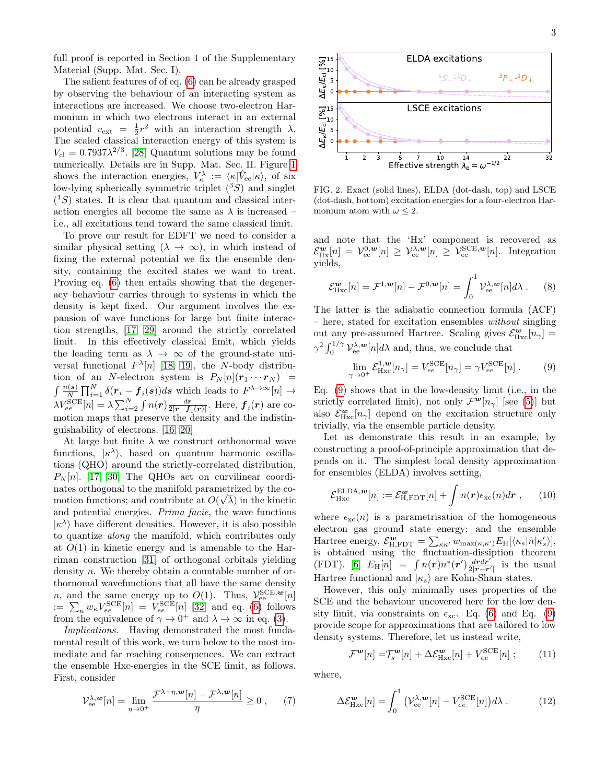full proof is reported in Section 1 of the Supplementary Material (Supp. Mat. Sec. I).

The salient features of of eq. [\(6\)](#page-1-2) can be already grasped by observing the behaviour of an interacting system as interactions are increased. We choose two-electron Harmonium in which two electrons interact in an external potential  $v_{\text{ext}} = \frac{1}{2}r^2$  with an interaction strength  $\lambda$ . The scaled classical interaction energy of this system is  $V_{\text{cl}} = 0.7937 \lambda^{2/3}$ . [\[28\]](#page-4-21) Quantum solutions may be found numerically. Details are in Supp. Mat. Sec. II. Figure [1](#page-1-3) shows the interaction energies,  $V_{\kappa}^{\lambda} := \langle \kappa | \hat{V}_{ee} | \kappa \rangle$ , of six low-lying spherically symmetric triplet  $(^3S)$  and singlet  $(1S)$  states. It is clear that quantum and classical interaction energies all become the same as  $\lambda$  is increased – i.e., all excitations tend toward the same classical limit.

To prove our result for EDFT we need to consider a similar physical setting  $(\lambda \to \infty)$ , in which instead of fixing the external potential we fix the ensemble density, containing the excited states we want to treat. Proving eq. [\(6\)](#page-1-2) then entails showing that the degeneracy behaviour carries through to systems in which the density is kept fixed. Our argument involves the expansion of wave functions for large but finite interaction strengths, [\[17,](#page-4-22) [29\]](#page-4-23) around the strictly correlated limit. In this effectively classical limit, which yields the leading term as  $\lambda \to \infty$  of the ground-state universal functional  $F^{\lambda}[n]$  [\[18,](#page-4-24) [19\]](#page-4-20), the N-body distribution of an N-electron system is  $P_N[n](r_1 \cdots r_N)$  =  $\int \frac{n(\mathbf{s})}{N} \prod_{i=1}^{N} \delta(r_i - f_i(\mathbf{s})) ds$  which leads to  $F^{\lambda \to \infty}[n] \to$  $\lambda V_{ee}^{\rm SCE}[n]=\lambda\sum_{i=2}^N\int n(\bm{r})\frac{d\bm{r}}{2|\bm{r}-\bm{f}_i(\bm{r})|}.$  Here,  $\bm{f}_i(\bm{r})$  are comotion maps that preserve the density and the indistinguishability of electrons. [\[16,](#page-4-12) [20\]](#page-4-25)

At large but finite  $\lambda$  we construct orthonormal wave functions,  $|\kappa^{\lambda}\rangle$ , based on quantum harmonic oscillations (QHO) around the strictly-correlated distribution,  $P_N[n]$ . [\[17,](#page-4-22) [30\]](#page-4-26) The QHOs act on curvilinear coordinates orthogonal to the manifold parametrized by the comotion functions; and contribute at  $O(\sqrt{\lambda})$  in the kinetic and potential energies. Prima facie, the wave functions  $|\kappa^{\lambda}\rangle$  have different densities. However, it is also possible to quantize along the manifold, which contributes only at  $O(1)$  in kinetic energy and is amenable to the Harriman construction [\[31\]](#page-4-27) of orthogonal orbitals yielding density n. We thereby obtain a countable number of orthornomal wavefunctions that all have the same density *n*, and the same energy up to  $O(1)$ . Thus,  $\mathcal{V}_{ee}^{SCE,w}[n]$  $:= \sum_{\kappa} w_{\kappa} V_{ee}^{\text{SCE}}[n] = V_{ee}^{\text{SCE}}[n]$  [\[32\]](#page-5-0) and eq. [\(6\)](#page-1-2) follows from the equivalence of  $\gamma \to 0^+$  and  $\lambda \to \infty$  in eq. [\(3\)](#page-1-4).

Implications. Having demonstrated the most fundamental result of this work, we turn below to the most immediate and far reaching consequences. We can extract the ensemble Hxc-energies in the SCE limit, as follows. First, consider

$$
\mathcal{V}_{\text{ee}}^{\lambda,\mathbf{w}}[n] = \lim_{\eta \to 0^+} \frac{\mathcal{F}^{\lambda+\eta,\mathbf{w}}[n] - \mathcal{F}^{\lambda,\mathbf{w}}[n]}{\eta} \ge 0 , \qquad (7)
$$



<span id="page-2-3"></span>FIG. 2. Exact (solid lines), ELDA (dot-dash, top) and LSCE (dot-dash, bottom) excitation energies for a four-electron Harmonium atom with  $\omega \leq 2$ .

and note that the 'Hx' component is recovered as  $\mathcal{E}_{\text{Hx}}^{\mathbf{w}}[n] = \mathcal{V}_{\text{ee}}^{0,\mathbf{w}}[n] \geq \mathcal{V}_{\text{ee}}^{3,\mathbf{w}}[n] \geq \mathcal{V}_{\text{ee}}^{\text{SCE},\mathbf{w}}[n]$ . Integration yields,

$$
\mathcal{E}_{\text{Hxc}}^{\mathbf{w}}[n] = \mathcal{F}^{1,\mathbf{w}}[n] - \mathcal{F}^{0,\mathbf{w}}[n] = \int_0^1 \mathcal{V}_{\text{ee}}^{\lambda,\mathbf{w}}[n]d\lambda . \tag{8}
$$

The latter is the adiabatic connection formula (ACF) – here, stated for excitation ensembles without singling out any pre-assumed Hartree. Scaling gives  $\mathcal{E}_{Hxc}^{\mathbf{w}}[n_{\gamma}] =$  $\gamma^2 \int_0^{1/\gamma} \mathcal{V}_{\text{ee}}^{\lambda, w}[n] d\lambda$  and, thus, we conclude that

<span id="page-2-0"></span>
$$
\lim_{\gamma \to 0^+} \mathcal{E}_{\text{Hxc}}^{1,\text{w}}[n_{\gamma}] = V_{ee}^{\text{SCE}}[n_{\gamma}] = \gamma V_{ee}^{\text{SCE}}[n] . \tag{9}
$$

Eq. [\(9\)](#page-2-0) shows that in the low-density limit (i.e., in the strictly correlated limit), not only  $\mathcal{F}^{\mathbf{w}}[n_{\gamma}]$  [see [\(5\)](#page-1-1)] but also  $\mathcal{E}_{Hxc}^{\mathbf{w}}[n_{\gamma}]$  depend on the excitation structure only trivially, via the ensemble particle density.

Let us demonstrate this result in an example, by constructing a proof-of-principle approximation that depends on it. The simplest local density approximation for ensembles (ELDA) involves setting,

<span id="page-2-2"></span>
$$
\mathcal{E}_{\text{Hxc}}^{\text{ELDA},\boldsymbol{w}}[n] := \mathcal{E}_{\text{H,FDT}}^{\boldsymbol{w}}[n] + \int n(\boldsymbol{r}) \epsilon_{\text{xc}}(n) d\boldsymbol{r} , \qquad (10)
$$

where  $\epsilon_{\rm xc}(n)$  is a parametrisation of the homogeneous electron gas ground state energy; and the ensemble Hartree energy,  $\mathcal{E}_{\text{H,FDT}}^{\textbf{w}} = \sum_{\kappa \kappa'} w_{\text{max}(\kappa, \kappa')} E_{\text{H}}[\langle \kappa_s | \hat{n} | \kappa_s' \rangle],$ is obtained using the fluctuation-dissiption theorem (FDT). [\[6\]](#page-4-6)  $E_H[n] = \int n(\mathbf{r}) n^*(\mathbf{r}') \frac{dr dr'}{2|\mathbf{r} - \mathbf{r}'|}$  $\frac{drdr'}{2|r-r'|}$  is the usual Hartree functional and  $|\kappa_s\rangle$  are Kohn-Sham states.

However, this only minimally uses properties of the SCE and the behaviour uncovered here for the low density limit, via constraints on  $\epsilon_{\rm xc}$ . Eq. [\(6\)](#page-1-2) and Eq. [\(9\)](#page-2-0) provide scope for approximations that are tailored to low density systems. Therefore, let us instead write,

<span id="page-2-1"></span>
$$
\mathcal{F}^{\mathbf{w}}[n] = \mathcal{T}_{s}^{\mathbf{w}}[n] + \Delta \mathcal{E}_{\text{Hxc}}^{\mathbf{w}}[n] + V_{ee}^{\text{SCE}}[n] \; ; \tag{11}
$$

where,

∆E

$$
\Delta \mathcal{E}_{\text{Hxc}}^{\boldsymbol{w}}[n] = \int_0^1 \left( \mathcal{V}_{\text{ee}}^{\lambda, \boldsymbol{w}}[n] - V_{ee}^{\text{SCE}}[n] \right) d\lambda \,. \tag{12}
$$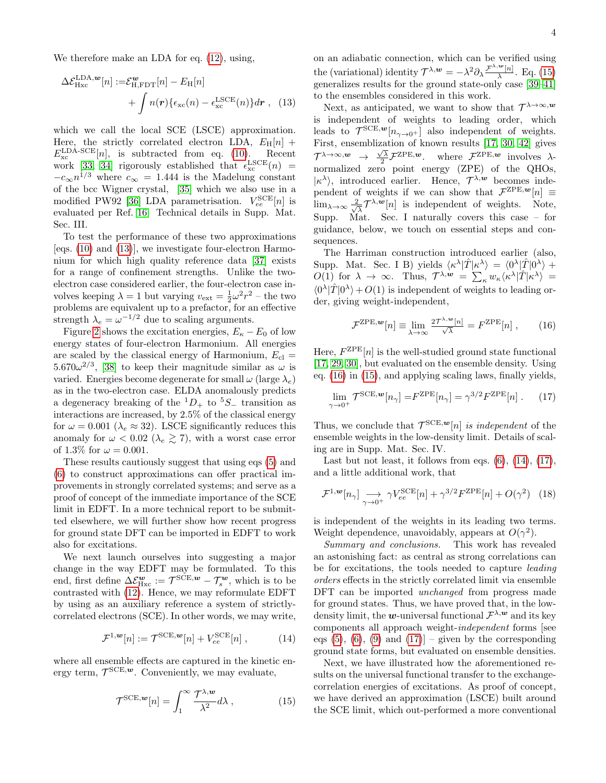We therefore make an LDA for eq. [\(12\)](#page-2-1), using,

$$
\Delta \mathcal{E}_{\text{Hxc}}^{\text{LDA},w}[n] := \mathcal{E}_{\text{H,FDT}}^w[n] - E_{\text{H}}[n] + \int n(\mathbf{r}) \{ \epsilon_{\text{xc}}(n) - \epsilon_{\text{xc}}^{\text{LSCE}}(n) \} d\mathbf{r} , \quad (13)
$$

which we call the local SCE (LSCE) approximation. Here, the strictly correlated electron LDA,  $E_H[n]$  +  $E_{\text{xc}}^{\text{LDA-SCE}}[n]$ , is subtracted from eq. [\(10\)](#page-2-2). Recent work [\[33,](#page-5-1) [34\]](#page-5-2) rigorously established that  $\epsilon_{\rm xc}^{\rm LSCE}(n)$  =  $-c_{\infty}n^{1/3}$  where  $c_{\infty} = 1.444$  is the Madelung constant of the bcc Wigner crystal, [\[35\]](#page-5-3) which we also use in a modified PW92 [\[36\]](#page-5-4) LDA parametrisation.  $V_{ee}^{\text{SCE}}[n]$  is evaluated per Ref. [16.](#page-4-12) Technical details in Supp. Mat. Sec. III.

To test the performance of these two approximations [eqs. [\(10\)](#page-2-2) and [\(13\)](#page-3-0)], we investigate four-electron Harmonium for which high quality reference data [\[37\]](#page-5-5) exists for a range of confinement strengths. Unlike the twoelectron case considered earlier, the four-electron case involves keeping  $\lambda = 1$  but varying  $v_{\text{ext}} = \frac{1}{2}\omega^2 r^2$  – the two problems are equivalent up to a prefactor, for an effective strength  $\lambda_e = \omega^{-1/2}$  due to scaling arguments.

Figure [2](#page-2-3) shows the excitation energies,  $E_{\kappa} - E_0$  of low energy states of four-electron Harmonium. All energies are scaled by the classical energy of Harmonium,  $E_{\text{cl}} =$  $5.670\omega^{2/3}$ , [\[38\]](#page-5-6) to keep their magnitude similar as  $\omega$  is varied. Energies become degenerate for small  $\omega$  (large  $\lambda_e$ ) as in the two-electron case. ELDA anomalously predicts a degeneracy breaking of the  ${}^{1}D_{+}$  to  ${}^{5}S_{-}$  transition as interactions are increased, by 2.5% of the classical energy for  $\omega = 0.001$  ( $\lambda_e \approx 32$ ). LSCE significantly reduces this anomaly for  $\omega < 0.02$  ( $\lambda_e \gtrsim 7$ ), with a worst case error of 1.3% for  $\omega = 0.001$ .

These results cautiously suggest that using eqs [\(5\)](#page-1-1) and [\(6\)](#page-1-2) to construct approximations can offer practical improvements in strongly correlated systems; and serve as a proof of concept of the immediate importance of the SCE limit in EDFT. In a more technical report to be submitted elsewhere, we will further show how recent progress for ground state DFT can be imported in EDFT to work also for excitations.

We next launch ourselves into suggesting a major change in the way EDFT may be formulated. To this end, first define  $\Delta \mathcal{E}_{\text{Hxc}}^{\mathbf{w}} := \mathcal{T}^{\text{SCE}, \mathbf{w}} - \mathcal{T}_{s}^{\mathbf{w}},$  which is to be contrasted with [\(12\)](#page-2-1). Hence, we may reformulate EDFT by using as an auxiliary reference a system of strictlycorrelated electrons (SCE). In other words, we may write,

$$
\mathcal{F}^{1,\mathbf{w}}[n] := \mathcal{T}^{\text{SCE},\mathbf{w}}[n] + V_{ee}^{\text{SCE}}[n] ,\qquad (14)
$$

where all ensemble effects are captured in the kinetic energy term,  $\mathcal{T}^{\text{SCE},w}$ . Conveniently, we may evaluate,

$$
\mathcal{T}^{\text{SCE},\mathbf{w}}[n] = \int_{1}^{\infty} \frac{\mathcal{T}^{\lambda,\mathbf{w}}}{\lambda^2} d\lambda , \qquad (15)
$$

on an adiabatic connection, which can be verified using the (variational) identity  $\mathcal{T}^{\lambda,\mathbf{w}} = -\lambda^2 \partial_{\lambda} \frac{\mathcal{F}^{\lambda,\mathbf{w}}[n]}{\lambda}$  $\frac{[n]}{\lambda}$ . Eq. [\(15\)](#page-3-1) generalizes results for the ground state-only case  $[39-41]$ to the ensembles considered in this work.

<span id="page-3-0"></span>Next, as anticipated, we want to show that  $\mathcal{T}^{\lambda \to \infty,w}$ is independent of weights to leading order, which leads to  $\mathcal{T}^{SCE,\mathbf{w}}[n_{\gamma\to 0^+}]$  also independent of weights. First, ensemblization of known results [\[17,](#page-4-22) [30,](#page-4-26) [42\]](#page-5-9) gives  $\tau^{\lambda \to \infty, w} \to \frac{\sqrt{\lambda}}{2} \mathcal{F}^{\text{ZPE}, w}$ . where  $\mathcal{F}^{\text{ZPE}, w}$  involves  $\lambda$ normalized zero point energy (ZPE) of the QHOs,  $|\kappa^{\lambda}\rangle$ , introduced earlier. Hence,  $\mathcal{T}^{\lambda,\mathbf{w}}$  becomes independent of weights if we can show that  $\mathcal{F}^{\text{ZPE},w}[n] \equiv$  $\lim_{\lambda\to\infty}\frac{2}{\sqrt{2}}$  $\frac{1}{\lambda} \mathcal{T}^{\lambda,\mathbf{w}}[n]$  is independent of weights. Note, Supp. Mat. Sec. I naturally covers this case – for guidance, below, we touch on essential steps and consequences.

The Harriman construction introduced earlier (also, Supp. Mat. Sec. I B) yields  $\langle \kappa^{\lambda} | \hat{T} | \kappa^{\lambda} \rangle = \langle 0^{\lambda} | \hat{T} | 0^{\lambda} \rangle +$  $O(1)$  for  $\lambda \to \infty$ . Thus,  $\mathcal{T}^{\lambda,\mathbf{w}} = \sum_{\kappa} w_{\kappa} \langle \kappa^{\lambda} | \hat{T} | \kappa^{\lambda} \rangle =$  $\langle 0^{\lambda}|\hat{T}|0^{\lambda}\rangle + O(1)$  is independent of weights to leading order, giving weight-independent,

<span id="page-3-4"></span><span id="page-3-2"></span>
$$
\mathcal{F}^{\text{ZPE},w}[n] \equiv \lim_{\lambda \to \infty} \frac{2\mathcal{T}^{\lambda,w}[n]}{\sqrt{\lambda}} = F^{\text{ZPE}}[n] \,,\qquad(16)
$$

Here,  $F^{\text{ZPE}}[n]$  is the well-studied ground state functional [\[17,](#page-4-22) [29,](#page-4-23) [30\]](#page-4-26), but evaluated on the ensemble density. Using eq. [\(16\)](#page-3-2) in [\(15\)](#page-3-1), and applying scaling laws, finally yields,

$$
\lim_{\gamma \to 0^+} \mathcal{T}^{\text{SCE},w}[n_\gamma] = F^{\text{ZPE}}[n_\gamma] = \gamma^{3/2} F^{\text{ZPE}}[n] . \tag{17}
$$

Thus, we conclude that  $\mathcal{T}^{\text{SCE},w}[n]$  is independent of the ensemble weights in the low-density limit. Details of scaling are in Supp. Mat. Sec. IV.

Last but not least, it follows from eqs.  $(6)$ ,  $(14)$ ,  $(17)$ , and a little additional work, that

<span id="page-3-5"></span>
$$
\mathcal{F}^{1,\mathbf{w}}[n_{\gamma}] \underset{\gamma \to 0^{+}}{\longrightarrow} \gamma V_{ee}^{\text{SCE}}[n] + \gamma^{3/2} F^{\text{ZPE}}[n] + O(\gamma^{2}) \quad (18)
$$

is independent of the weights in its leading two terms. Weight dependence, unavoidably, appears at  $O(\gamma^2)$ .

Summary and conclusions. This work has revealed an astonishing fact: as central as strong correlations can be for excitations, the tools needed to capture leading orders effects in the strictly correlated limit via ensemble DFT can be imported *unchanged* from progress made for ground states. Thus, we have proved that, in the lowdensity limit, the w-universal functional  $\mathcal{F}^{\lambda,w}$  and its key components all approach weight-independent forms [see eqs  $(5)$ ,  $(6)$ ,  $(9)$  and  $(17)$ ] – given by the corresponding ground state forms, but evaluated on ensemble densities.

<span id="page-3-3"></span><span id="page-3-1"></span>Next, we have illustrated how the aforementioned results on the universal functional transfer to the exchangecorrelation energies of excitations. As proof of concept, we have derived an approximation (LSCE) built around the SCE limit, which out-performed a more conventional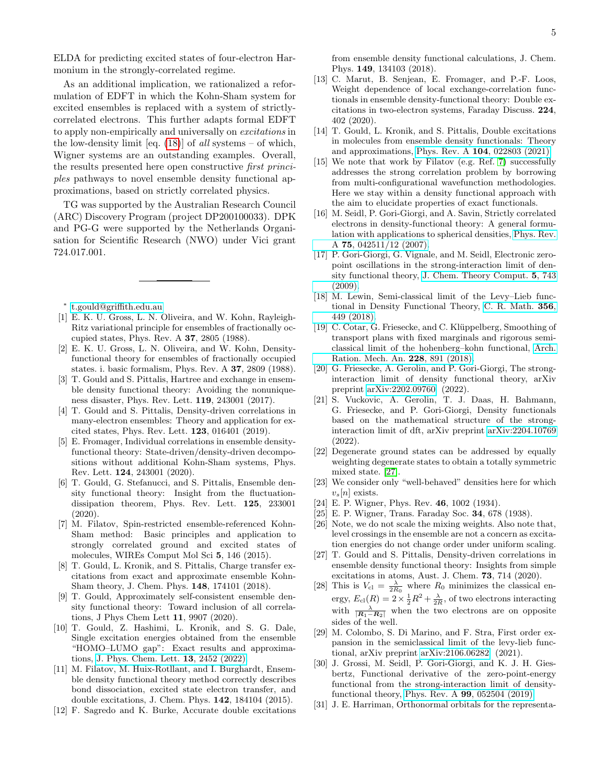ELDA for predicting excited states of four-electron Harmonium in the strongly-correlated regime.

As an additional implication, we rationalized a reformulation of EDFT in which the Kohn-Sham system for excited ensembles is replaced with a system of strictlycorrelated electrons. This further adapts formal EDFT to apply non-empirically and universally on excitations in the low-density limit [eq.  $(18)$ ] of all systems – of which, Wigner systems are an outstanding examples. Overall, the results presented here open constructive first principles pathways to novel ensemble density functional approximations, based on strictly correlated physics.

TG was supported by the Australian Research Council (ARC) Discovery Program (project DP200100033). DPK and PG-G were supported by the Netherlands Organisation for Scientific Research (NWO) under Vici grant 724.017.001.

<span id="page-4-0"></span>∗ [t.gould@griffith.edu.au](mailto:t.gould@griffith.edu.au)

- <span id="page-4-1"></span>[1] E. K. U. Gross, L. N. Oliveira, and W. Kohn, Rayleigh-Ritz variational principle for ensembles of fractionally occupied states, Phys. Rev. A 37, 2805 (1988).
- <span id="page-4-2"></span>[2] E. K. U. Gross, L. N. Oliveira, and W. Kohn, Densityfunctional theory for ensembles of fractionally occupied states. i. basic formalism, Phys. Rev. A 37, 2809 (1988).
- <span id="page-4-3"></span>[3] T. Gould and S. Pittalis, Hartree and exchange in ensemble density functional theory: Avoiding the nonuniqueness disaster, Phys. Rev. Lett. 119, 243001 (2017).
- <span id="page-4-4"></span>[4] T. Gould and S. Pittalis, Density-driven correlations in many-electron ensembles: Theory and application for excited states, Phys. Rev. Lett. 123, 016401 (2019).
- <span id="page-4-5"></span>[5] E. Fromager, Individual correlations in ensemble densityfunctional theory: State-driven/density-driven decompositions without additional Kohn-Sham systems, Phys. Rev. Lett. 124, 243001 (2020).
- <span id="page-4-6"></span>[6] T. Gould, G. Stefanucci, and S. Pittalis, Ensemble density functional theory: Insight from the fluctuationdissipation theorem, Phys. Rev. Lett. 125, 233001  $(2020)$ .
- <span id="page-4-7"></span>[7] M. Filatov, Spin-restricted ensemble-referenced Kohn-Sham method: Basic principles and application to strongly correlated ground and excited states of molecules, WIREs Comput Mol Sci 5, 146 (2015).
- [8] T. Gould, L. Kronik, and S. Pittalis, Charge transfer excitations from exact and approximate ensemble Kohn-Sham theory, J. Chem. Phys. 148, 174101 (2018).
- [9] T. Gould, Approximately self-consistent ensemble density functional theory: Toward inclusion of all correlations, J Phys Chem Lett 11, 9907 (2020).
- <span id="page-4-8"></span>[10] T. Gould, Z. Hashimi, L. Kronik, and S. G. Dale, Single excitation energies obtained from the ensemble "HOMO–LUMO gap": Exact results and approximations, [J. Phys. Chem. Lett.](https://doi.org/10.1021/acs.jpclett.2c00042) 13, 2452 (2022).
- <span id="page-4-9"></span>[11] M. Filatov, M. Huix-Rotllant, and I. Burghardt, Ensemble density functional theory method correctly describes bond dissociation, excited state electron transfer, and double excitations, J. Chem. Phys. 142, 184104 (2015).
- [12] F. Sagredo and K. Burke, Accurate double excitations

from ensemble density functional calculations, J. Chem. Phys. 149, 134103 (2018).

- [13] C. Marut, B. Senjean, E. Fromager, and P.-F. Loos, Weight dependence of local exchange-correlation functionals in ensemble density-functional theory: Double excitations in two-electron systems, Faraday Discuss. 224, 402 (2020).
- <span id="page-4-10"></span>[14] T. Gould, L. Kronik, and S. Pittalis, Double excitations in molecules from ensemble density functionals: Theory and approximations, Phys. Rev. A 104[, 022803 \(2021\).](https://doi.org/10.1103/physreva.104.022803)
- <span id="page-4-11"></span>[15] We note that work by Filatov (e.g. Ref. [7\)](#page-4-7) successfully addresses the strong correlation problem by borrowing from multi-configurational wavefunction methodologies. Here we stay within a density functional approach with the aim to elucidate properties of exact functionals.
- <span id="page-4-12"></span>[16] M. Seidl, P. Gori-Giorgi, and A. Savin, Strictly correlated electrons in density-functional theory: A general formulation with applications to spherical densities, [Phys. Rev.](https://doi.org/10.1103/PhysRevA.75.042511) A 75[, 042511/12 \(2007\).](https://doi.org/10.1103/PhysRevA.75.042511)
- <span id="page-4-22"></span>[17] P. Gori-Giorgi, G. Vignale, and M. Seidl, Electronic zeropoint oscillations in the strong-interaction limit of density functional theory, [J. Chem. Theory Comput.](https://doi.org/10.1021/ct8005248) 5, 743 [\(2009\).](https://doi.org/10.1021/ct8005248)
- <span id="page-4-24"></span>[18] M. Lewin, Semi-classical limit of the Levy–Lieb functional in Density Functional Theory, [C. R. Math.](https://doi.org/10.1016/j.crma.2018.03.002) 356, [449 \(2018\).](https://doi.org/10.1016/j.crma.2018.03.002)
- <span id="page-4-20"></span>[19] C. Cotar, G. Friesecke, and C. Klüppelberg, Smoothing of transport plans with fixed marginals and rigorous semiclassical limit of the hohenberg–kohn functional, [Arch.](https://doi.org/10.1007/s00205-017-1208-y) [Ration. Mech. An.](https://doi.org/10.1007/s00205-017-1208-y) 228, 891 (2018).
- <span id="page-4-25"></span>[20] G. Friesecke, A. Gerolin, and P. Gori-Giorgi, The stronginteraction limit of density functional theory, arXiv preprint [arXiv:2202.09760](http://arxiv.org/abs/2202.09760) (2022).
- <span id="page-4-13"></span>[21] S. Vuckovic, A. Gerolin, T. J. Daas, H. Bahmann, G. Friesecke, and P. Gori-Giorgi, Density functionals based on the mathematical structure of the stronginteraction limit of dft, arXiv preprint [arXiv:2204.10769](http://arxiv.org/abs/2204.10769) (2022).
- <span id="page-4-14"></span>[22] Degenerate ground states can be addressed by equally weighting degenerate states to obtain a totally symmetric mixed state. [\[27\]](#page-4-19).
- <span id="page-4-15"></span>[23] We consider only "well-behaved" densities here for which  $v_s[n]$  exists.
- <span id="page-4-16"></span>[24] E. P. Wigner, Phys. Rev. 46, 1002 (1934).
- <span id="page-4-17"></span>[25] E. P. Wigner, Trans. Faraday Soc. 34, 678 (1938).
- <span id="page-4-18"></span>[26] Note, we do not scale the mixing weights. Also note that, level crossings in the ensemble are not a concern as excitation energies do not change order under uniform scaling.
- <span id="page-4-19"></span>[27] T. Gould and S. Pittalis, Density-driven correlations in ensemble density functional theory: Insights from simple excitations in atoms, Aust. J. Chem. 73, 714 (2020).
- <span id="page-4-21"></span>[28] This is  $V_{\text{cl}} = \frac{\lambda}{2R_0}$  where  $R_0$  minimizes the classical energy,  $E_{\text{cl}}(R) = 2 \times \frac{1}{2}R^2 + \frac{\lambda}{2R}$ , of two electrons interacting with  $\frac{\lambda}{|R_1-R_2|}$  when the two electrons are on opposite sides of the well.
- <span id="page-4-23"></span>[29] M. Colombo, S. Di Marino, and F. Stra, First order expansion in the semiclassical limit of the levy-lieb functional, arXiv preprint [arXiv:2106.06282](http://arxiv.org/abs/2106.06282) (2021).
- <span id="page-4-26"></span>[30] J. Grossi, M. Seidl, P. Gori-Giorgi, and K. J. H. Giesbertz, Functional derivative of the zero-point-energy functional from the strong-interaction limit of densityfunctional theory, Phys. Rev. A 99[, 052504 \(2019\).](https://doi.org/10.1103/physreva.99.052504)
- <span id="page-4-27"></span>[31] J. E. Harriman, Orthonormal orbitals for the representa-